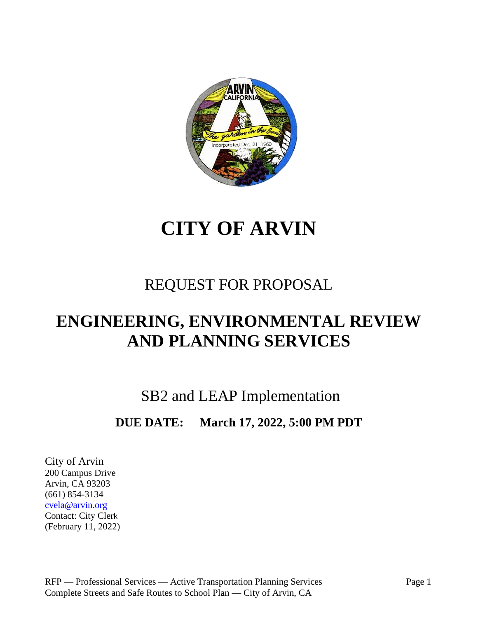

# **CITY OF ARVIN**

# REQUEST FOR PROPOSAL

# **ENGINEERING, ENVIRONMENTAL REVIEW AND PLANNING SERVICES**

SB2 and LEAP Implementation

# **DUE DATE: March 17, 2022, 5:00 PM PDT**

City of Arvin 200 Campus Drive Arvin, CA 93203 (661) 854-3134 cvela@arvin.org Contact: City Clerk (February 11, 2022)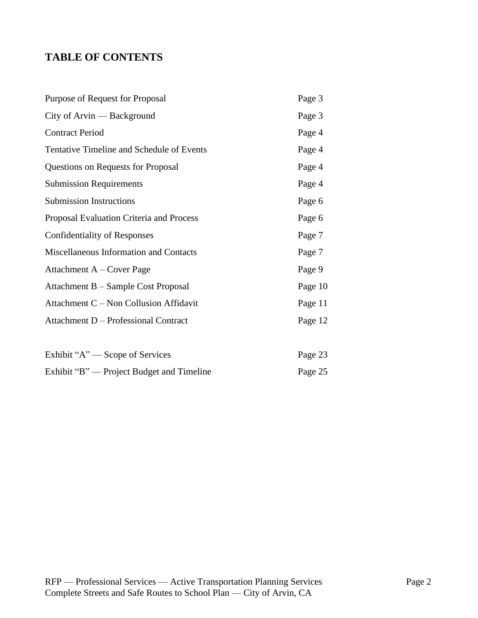# **TABLE OF CONTENTS**

| Purpose of Request for Proposal           | Page 3  |
|-------------------------------------------|---------|
| City of Arvin — Background                | Page 3  |
| <b>Contract Period</b>                    | Page 4  |
| Tentative Timeline and Schedule of Events | Page 4  |
| Questions on Requests for Proposal        | Page 4  |
| <b>Submission Requirements</b>            | Page 4  |
| <b>Submission Instructions</b>            | Page 6  |
| Proposal Evaluation Criteria and Process  | Page 6  |
| <b>Confidentiality of Responses</b>       | Page 7  |
| Miscellaneous Information and Contacts    | Page 7  |
| Attachment $A - Cover Page$               | Page 9  |
| Attachment B – Sample Cost Proposal       | Page 10 |
| Attachment C – Non Collusion Affidavit    | Page 11 |
| Attachment D - Professional Contract      | Page 12 |
|                                           |         |
| Exhibit "A" — Scope of Services           | Page 23 |
| Exhibit "B" — Project Budget and Timeline | Page 25 |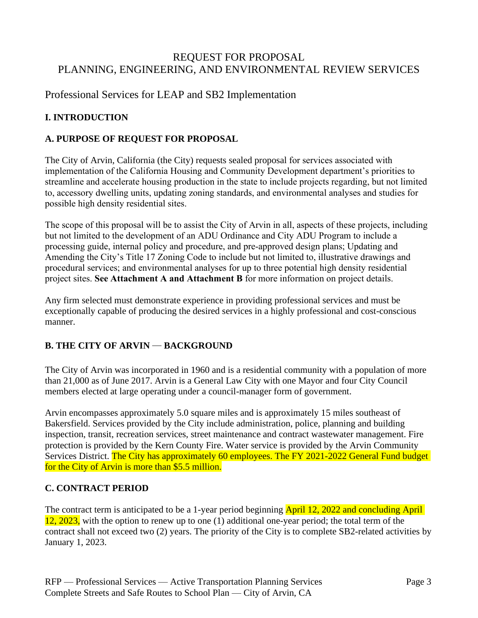# REQUEST FOR PROPOSAL PLANNING, ENGINEERING, AND ENVIRONMENTAL REVIEW SERVICES

Professional Services for LEAP and SB2 Implementation

# **I. INTRODUCTION**

### **A. PURPOSE OF REQUEST FOR PROPOSAL**

The City of Arvin, California (the City) requests sealed proposal for services associated with implementation of the California Housing and Community Development department's priorities to streamline and accelerate housing production in the state to include projects regarding, but not limited to, accessory dwelling units, updating zoning standards, and environmental analyses and studies for possible high density residential sites.

The scope of this proposal will be to assist the City of Arvin in all, aspects of these projects, including but not limited to the development of an ADU Ordinance and City ADU Program to include a processing guide, internal policy and procedure, and pre-approved design plans; Updating and Amending the City's Title 17 Zoning Code to include but not limited to, illustrative drawings and procedural services; and environmental analyses for up to three potential high density residential project sites. **See Attachment A and Attachment B** for more information on project details.

Any firm selected must demonstrate experience in providing professional services and must be exceptionally capable of producing the desired services in a highly professional and cost-conscious manner.

# **B. THE CITY OF ARVIN — BACKGROUND**

The City of Arvin was incorporated in 1960 and is a residential community with a population of more than 21,000 as of June 2017. Arvin is a General Law City with one Mayor and four City Council members elected at large operating under a council-manager form of government.

Arvin encompasses approximately 5.0 square miles and is approximately 15 miles southeast of Bakersfield. Services provided by the City include administration, police, planning and building inspection, transit, recreation services, street maintenance and contract wastewater management. Fire protection is provided by the Kern County Fire. Water service is provided by the Arvin Community Services District. The City has approximately 60 employees. The FY 2021-2022 General Fund budget for the City of Arvin is more than \$5.5 million.

# **C. CONTRACT PERIOD**

The contract term is anticipated to be a 1-year period beginning April 12, 2022 and concluding April 12, 2023, with the option to renew up to one (1) additional one-year period; the total term of the contract shall not exceed two (2) years. The priority of the City is to complete SB2-related activities by January 1, 2023.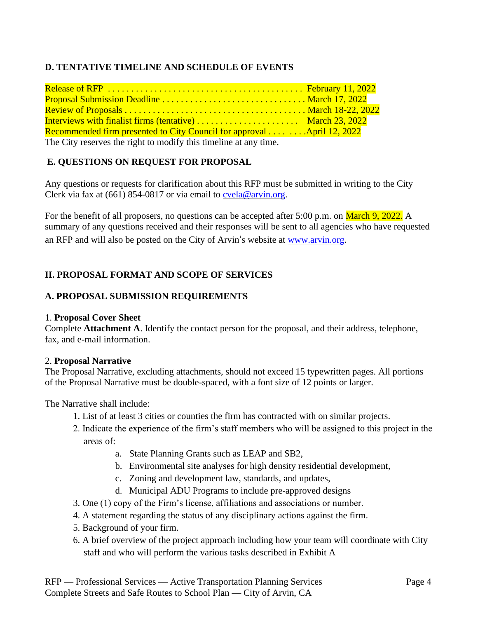# **D. TENTATIVE TIMELINE AND SCHEDULE OF EVENTS**

| Interviews with finalist firms (tentative)  March 23, 2022             |  |
|------------------------------------------------------------------------|--|
| Recommended firm presented to City Council for approval April 12, 2022 |  |
| The City reserves the right to modify this timeline at any time.       |  |

### **E. QUESTIONS ON REQUEST FOR PROPOSAL**

Any questions or requests for clarification about this RFP must be submitted in writing to the City Clerk via fax at  $(661)$  854-0817 or via email to [cvela@arvin.org.](mailto:cvela@arvin.org)

For the benefit of all proposers, no questions can be accepted after 5:00 p.m. on March 9, 2022. A summary of any questions received and their responses will be sent to all agencies who have requested an RFP and will also be posted on the City of Arvin's website at [www.arvin.org.](http://www.arvin.org/)

### **II. PROPOSAL FORMAT AND SCOPE OF SERVICES**

### **A. PROPOSAL SUBMISSION REQUIREMENTS**

### 1. **Proposal Cover Sheet**

Complete **Attachment A**. Identify the contact person for the proposal, and their address, telephone, fax, and e-mail information.

### 2. **Proposal Narrative**

The Proposal Narrative, excluding attachments, should not exceed 15 typewritten pages. All portions of the Proposal Narrative must be double-spaced, with a font size of 12 points or larger.

The Narrative shall include:

- 1. List of at least 3 cities or counties the firm has contracted with on similar projects.
- 2. Indicate the experience of the firm's staff members who will be assigned to this project in the areas of:
	- a. State Planning Grants such as LEAP and SB2,
	- b. Environmental site analyses for high density residential development,
	- c. Zoning and development law, standards, and updates,
	- d. Municipal ADU Programs to include pre-approved designs
- 3. One (1) copy of the Firm's license, affiliations and associations or number.
- 4. A statement regarding the status of any disciplinary actions against the firm.
- 5. Background of your firm.
- 6. A brief overview of the project approach including how your team will coordinate with City staff and who will perform the various tasks described in Exhibit A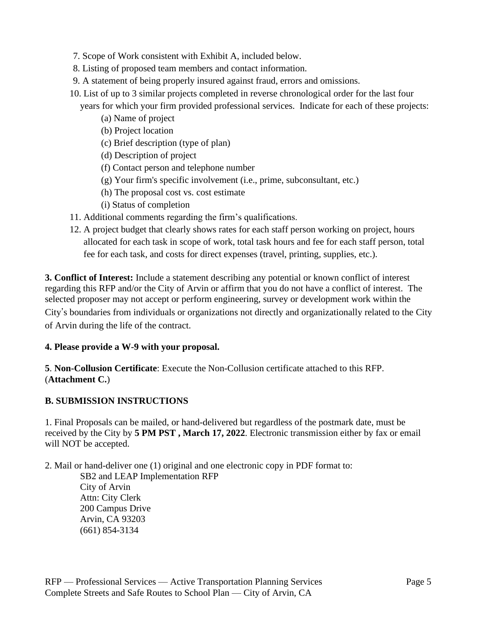- 7. Scope of Work consistent with Exhibit A, included below.
- 8. Listing of proposed team members and contact information.
- 9. A statement of being properly insured against fraud, errors and omissions.
- 10. List of up to 3 similar projects completed in reverse chronological order for the last four years for which your firm provided professional services. Indicate for each of these projects:
	- (a) Name of project
	- (b) Project location
	- (c) Brief description (type of plan)
	- (d) Description of project
	- (f) Contact person and telephone number
	- (g) Your firm's specific involvement (i.e., prime, subconsultant, etc.)
	- (h) The proposal cost vs. cost estimate
	- (i) Status of completion
- 11. Additional comments regarding the firm's qualifications.
- 12. A project budget that clearly shows rates for each staff person working on project, hours allocated for each task in scope of work, total task hours and fee for each staff person, total fee for each task, and costs for direct expenses (travel, printing, supplies, etc.).

**3. Conflict of Interest:** Include a statement describing any potential or known conflict of interest regarding this RFP and/or the City of Arvin or affirm that you do not have a conflict of interest. The selected proposer may not accept or perform engineering, survey or development work within the City's boundaries from individuals or organizations not directly and organizationally related to the City

of Arvin during the life of the contract.

### **4. Please provide a W-9 with your proposal.**

**5**. **Non-Collusion Certificate**: Execute the Non-Collusion certificate attached to this RFP. (**Attachment C.**)

### **B. SUBMISSION INSTRUCTIONS**

1. Final Proposals can be mailed, or hand-delivered but regardless of the postmark date, must be received by the City by **5 PM PST , March 17, 2022**. Electronic transmission either by fax or email will NOT be accepted.

2. Mail or hand-deliver one (1) original and one electronic copy in PDF format to:

SB2 and LEAP Implementation RFP City of Arvin Attn: City Clerk 200 Campus Drive Arvin, CA 93203 (661) 854-3134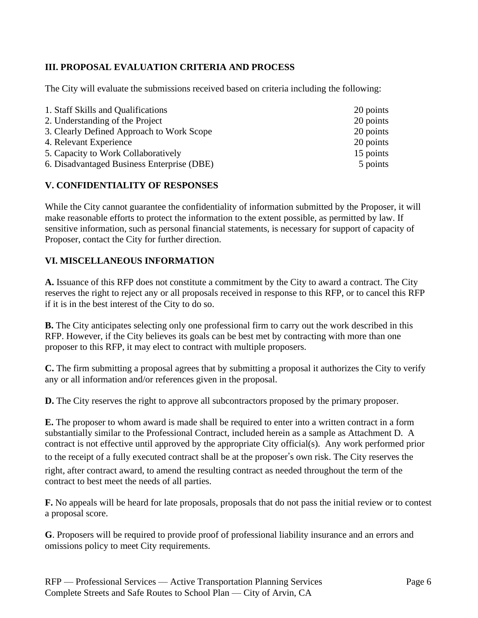# **III. PROPOSAL EVALUATION CRITERIA AND PROCESS**

The City will evaluate the submissions received based on criteria including the following:

| 1. Staff Skills and Qualifications         | 20 points |
|--------------------------------------------|-----------|
| 2. Understanding of the Project            | 20 points |
| 3. Clearly Defined Approach to Work Scope  | 20 points |
| 4. Relevant Experience                     | 20 points |
| 5. Capacity to Work Collaboratively        | 15 points |
| 6. Disadvantaged Business Enterprise (DBE) | 5 points  |

### **V. CONFIDENTIALITY OF RESPONSES**

While the City cannot guarantee the confidentiality of information submitted by the Proposer, it will make reasonable efforts to protect the information to the extent possible, as permitted by law. If sensitive information, such as personal financial statements, is necessary for support of capacity of Proposer, contact the City for further direction.

### **VI. MISCELLANEOUS INFORMATION**

**A.** Issuance of this RFP does not constitute a commitment by the City to award a contract. The City reserves the right to reject any or all proposals received in response to this RFP, or to cancel this RFP if it is in the best interest of the City to do so.

**B.** The City anticipates selecting only one professional firm to carry out the work described in this RFP. However, if the City believes its goals can be best met by contracting with more than one proposer to this RFP, it may elect to contract with multiple proposers.

**C.** The firm submitting a proposal agrees that by submitting a proposal it authorizes the City to verify any or all information and/or references given in the proposal.

**D.** The City reserves the right to approve all subcontractors proposed by the primary proposer.

**E.** The proposer to whom award is made shall be required to enter into a written contract in a form substantially similar to the Professional Contract, included herein as a sample as Attachment D. A contract is not effective until approved by the appropriate City official(s). Any work performed prior to the receipt of a fully executed contract shall be at the proposer's own risk. The City reserves the right, after contract award, to amend the resulting contract as needed throughout the term of the contract to best meet the needs of all parties.

**F.** No appeals will be heard for late proposals, proposals that do not pass the initial review or to contest a proposal score.

**G**. Proposers will be required to provide proof of professional liability insurance and an errors and omissions policy to meet City requirements.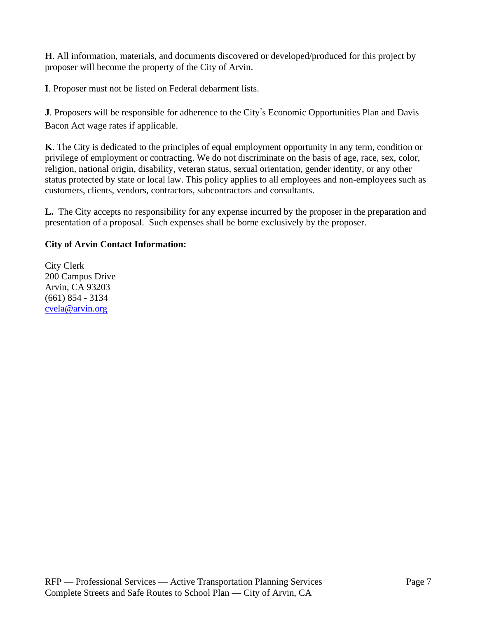**H**. All information, materials, and documents discovered or developed/produced for this project by proposer will become the property of the City of Arvin.

**I**. Proposer must not be listed on Federal debarment lists.

**J**. Proposers will be responsible for adherence to the City's Economic Opportunities Plan and Davis Bacon Act wage rates if applicable.

**K**. The City is dedicated to the principles of equal employment opportunity in any term, condition or privilege of employment or contracting. We do not discriminate on the basis of age, race, sex, color, religion, national origin, disability, veteran status, sexual orientation, gender identity, or any other status protected by state or local law. This policy applies to all employees and non-employees such as customers, clients, vendors, contractors, subcontractors and consultants.

**L.** The City accepts no responsibility for any expense incurred by the proposer in the preparation and presentation of a proposal. Such expenses shall be borne exclusively by the proposer.

# **City of Arvin Contact Information:**

City Clerk 200 Campus Drive Arvin, CA 93203 (661) 854 - 3134 [cvela@arvin.org](mailto:ccbldg@hotmail.com)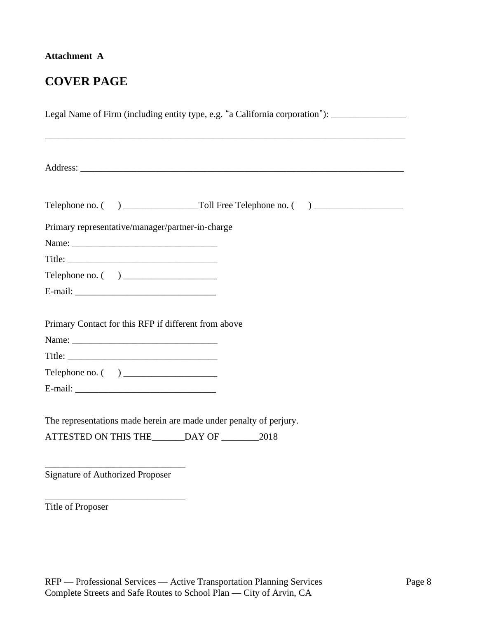# **Attachment A**

# **COVER PAGE**

| Legal Name of Firm (including entity type, e.g. "a California corporation"): ______________________ |
|-----------------------------------------------------------------------------------------------------|
|                                                                                                     |
|                                                                                                     |
| Primary representative/manager/partner-in-charge                                                    |
|                                                                                                     |
|                                                                                                     |
|                                                                                                     |
|                                                                                                     |
| Primary Contact for this RFP if different from above                                                |
|                                                                                                     |
| The representations made herein are made under penalty of perjury.                                  |
| <b>Signature of Authorized Proposer</b>                                                             |

Title of Proposer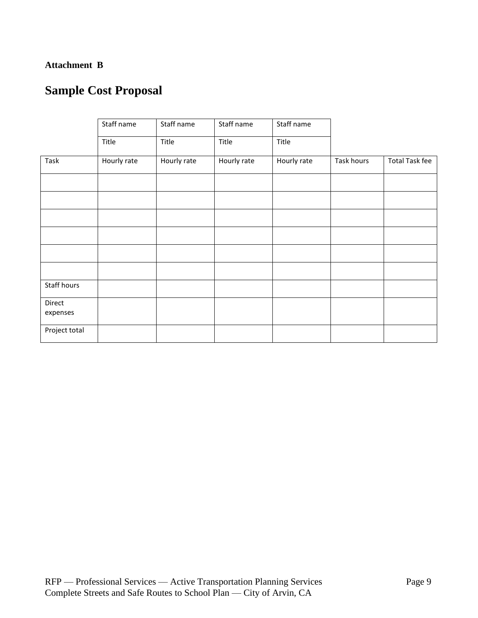### **Attachment B**

# **Sample Cost Proposal**

|                    | Staff name  | Staff name  | Staff name  | Staff name  |            |                       |
|--------------------|-------------|-------------|-------------|-------------|------------|-----------------------|
|                    | Title       | Title       | Title       | Title       |            |                       |
| Task               | Hourly rate | Hourly rate | Hourly rate | Hourly rate | Task hours | <b>Total Task fee</b> |
|                    |             |             |             |             |            |                       |
|                    |             |             |             |             |            |                       |
|                    |             |             |             |             |            |                       |
|                    |             |             |             |             |            |                       |
|                    |             |             |             |             |            |                       |
|                    |             |             |             |             |            |                       |
| Staff hours        |             |             |             |             |            |                       |
| Direct<br>expenses |             |             |             |             |            |                       |
| Project total      |             |             |             |             |            |                       |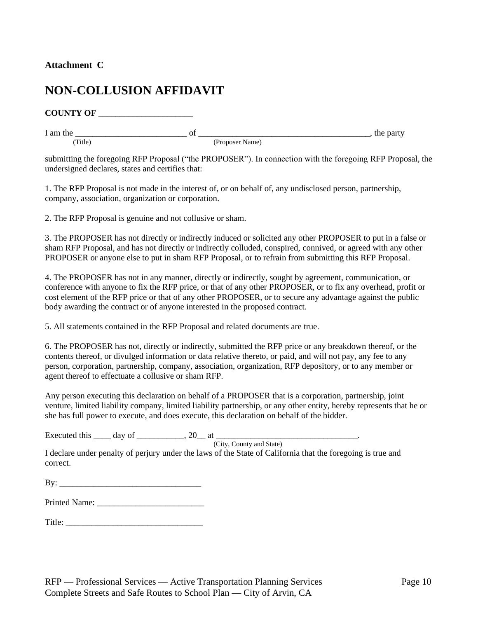### **Attachment C**

# **NON-COLLUSION AFFIDAVIT**

**COUNTY OF** \_\_\_\_\_\_\_\_\_\_\_\_\_\_\_\_\_\_\_\_\_\_

(Title) (Proposer Name)

I am the \_\_\_\_\_\_\_\_\_\_\_\_\_\_\_\_\_\_\_\_\_\_\_\_\_\_ of \_\_\_\_\_\_\_\_\_\_\_\_\_\_\_\_\_\_\_\_\_\_\_\_\_\_\_\_\_\_\_\_\_\_\_\_\_\_\_\_, the party

submitting the foregoing RFP Proposal ("the PROPOSER"). In connection with the foregoing RFP Proposal, the undersigned declares, states and certifies that:

1. The RFP Proposal is not made in the interest of, or on behalf of, any undisclosed person, partnership, company, association, organization or corporation.

2. The RFP Proposal is genuine and not collusive or sham.

3. The PROPOSER has not directly or indirectly induced or solicited any other PROPOSER to put in a false or sham RFP Proposal, and has not directly or indirectly colluded, conspired, connived, or agreed with any other PROPOSER or anyone else to put in sham RFP Proposal, or to refrain from submitting this RFP Proposal.

4. The PROPOSER has not in any manner, directly or indirectly, sought by agreement, communication, or conference with anyone to fix the RFP price, or that of any other PROPOSER, or to fix any overhead, profit or cost element of the RFP price or that of any other PROPOSER, or to secure any advantage against the public body awarding the contract or of anyone interested in the proposed contract.

5. All statements contained in the RFP Proposal and related documents are true.

6. The PROPOSER has not, directly or indirectly, submitted the RFP price or any breakdown thereof, or the contents thereof, or divulged information or data relative thereto, or paid, and will not pay, any fee to any person, corporation, partnership, company, association, organization, RFP depository, or to any member or agent thereof to effectuate a collusive or sham RFP.

Any person executing this declaration on behalf of a PROPOSER that is a corporation, partnership, joint venture, limited liability company, limited liability partnership, or any other entity, hereby represents that he or she has full power to execute, and does execute, this declaration on behalf of the bidder.

| Ð<br>Executed this |  | . . |  |  |
|--------------------|--|-----|--|--|
|--------------------|--|-----|--|--|

(City, County and State)

I declare under penalty of perjury under the laws of the State of California that the foregoing is true and correct.

 $\mathbf{B} \mathbf{v}$ :

Printed Name: \_\_\_\_\_\_\_\_\_\_\_\_\_\_\_\_\_\_\_\_\_\_\_\_\_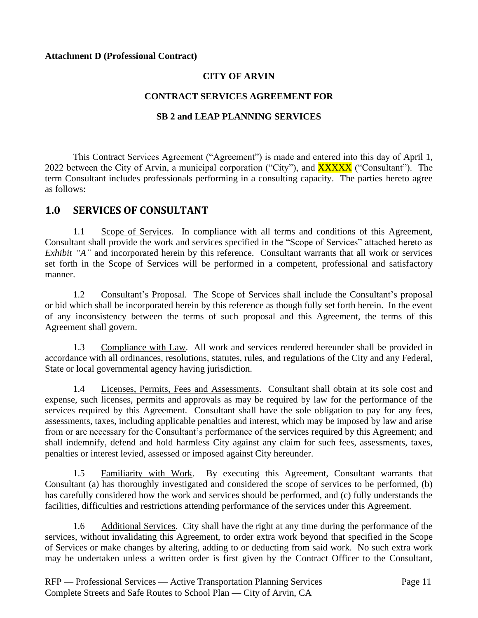#### **Attachment D (Professional Contract)**

### **CITY OF ARVIN**

### **CONTRACT SERVICES AGREEMENT FOR**

### **SB 2 and LEAP PLANNING SERVICES**

This Contract Services Agreement ("Agreement") is made and entered into this day of April 1, 2022 between the City of Arvin, a municipal corporation ("City"), and **XXXXX** ("Consultant"). The term Consultant includes professionals performing in a consulting capacity. The parties hereto agree as follows:

### **1.0 SERVICES OF CONSULTANT**

1.1 Scope of Services. In compliance with all terms and conditions of this Agreement, Consultant shall provide the work and services specified in the "Scope of Services" attached hereto as *Exhibit "A"* and incorporated herein by this reference. Consultant warrants that all work or services set forth in the Scope of Services will be performed in a competent, professional and satisfactory manner.

1.2 Consultant's Proposal. The Scope of Services shall include the Consultant's proposal or bid which shall be incorporated herein by this reference as though fully set forth herein. In the event of any inconsistency between the terms of such proposal and this Agreement, the terms of this Agreement shall govern.

1.3 Compliance with Law. All work and services rendered hereunder shall be provided in accordance with all ordinances, resolutions, statutes, rules, and regulations of the City and any Federal, State or local governmental agency having jurisdiction.

1.4 Licenses, Permits, Fees and Assessments. Consultant shall obtain at its sole cost and expense, such licenses, permits and approvals as may be required by law for the performance of the services required by this Agreement. Consultant shall have the sole obligation to pay for any fees, assessments, taxes, including applicable penalties and interest, which may be imposed by law and arise from or are necessary for the Consultant's performance of the services required by this Agreement; and shall indemnify, defend and hold harmless City against any claim for such fees, assessments, taxes, penalties or interest levied, assessed or imposed against City hereunder.

1.5 Familiarity with Work. By executing this Agreement, Consultant warrants that Consultant (a) has thoroughly investigated and considered the scope of services to be performed, (b) has carefully considered how the work and services should be performed, and (c) fully understands the facilities, difficulties and restrictions attending performance of the services under this Agreement.

1.6 Additional Services. City shall have the right at any time during the performance of the services, without invalidating this Agreement, to order extra work beyond that specified in the Scope of Services or make changes by altering, adding to or deducting from said work. No such extra work may be undertaken unless a written order is first given by the Contract Officer to the Consultant,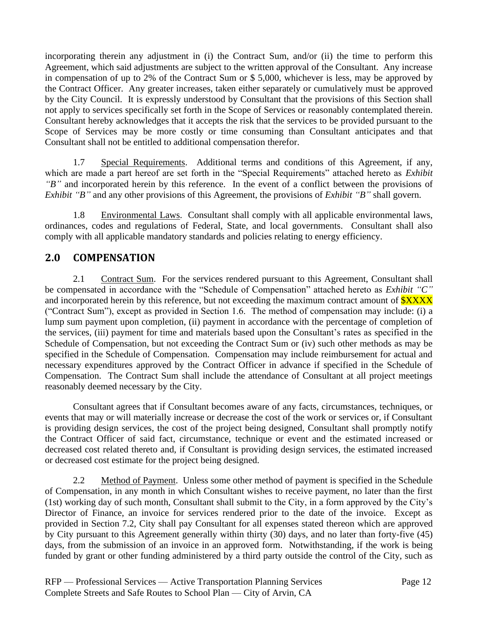incorporating therein any adjustment in (i) the Contract Sum, and/or (ii) the time to perform this Agreement, which said adjustments are subject to the written approval of the Consultant. Any increase in compensation of up to 2% of the Contract Sum or \$ 5,000, whichever is less, may be approved by the Contract Officer. Any greater increases, taken either separately or cumulatively must be approved by the City Council. It is expressly understood by Consultant that the provisions of this Section shall not apply to services specifically set forth in the Scope of Services or reasonably contemplated therein. Consultant hereby acknowledges that it accepts the risk that the services to be provided pursuant to the Scope of Services may be more costly or time consuming than Consultant anticipates and that Consultant shall not be entitled to additional compensation therefor.

1.7 Special Requirements. Additional terms and conditions of this Agreement, if any, which are made a part hereof are set forth in the "Special Requirements" attached hereto as *Exhibit "B"* and incorporated herein by this reference. In the event of a conflict between the provisions of *Exhibit "B"* and any other provisions of this Agreement, the provisions of *Exhibit "B"* shall govern.

1.8 Environmental Laws. Consultant shall comply with all applicable environmental laws, ordinances, codes and regulations of Federal, State, and local governments. Consultant shall also comply with all applicable mandatory standards and policies relating to energy efficiency.

# **2.0 COMPENSATION**

2.1 Contract Sum. For the services rendered pursuant to this Agreement, Consultant shall be compensated in accordance with the "Schedule of Compensation" attached hereto as *Exhibit "C"* and incorporated herein by this reference, but not exceeding the maximum contract amount of **\$XXXX** ("Contract Sum"), except as provided in Section 1.6. The method of compensation may include: (i) a lump sum payment upon completion, (ii) payment in accordance with the percentage of completion of the services, (iii) payment for time and materials based upon the Consultant's rates as specified in the Schedule of Compensation, but not exceeding the Contract Sum or (iv) such other methods as may be specified in the Schedule of Compensation. Compensation may include reimbursement for actual and necessary expenditures approved by the Contract Officer in advance if specified in the Schedule of Compensation. The Contract Sum shall include the attendance of Consultant at all project meetings reasonably deemed necessary by the City.

Consultant agrees that if Consultant becomes aware of any facts, circumstances, techniques, or events that may or will materially increase or decrease the cost of the work or services or, if Consultant is providing design services, the cost of the project being designed, Consultant shall promptly notify the Contract Officer of said fact, circumstance, technique or event and the estimated increased or decreased cost related thereto and, if Consultant is providing design services, the estimated increased or decreased cost estimate for the project being designed.

2.2 Method of Payment. Unless some other method of payment is specified in the Schedule of Compensation, in any month in which Consultant wishes to receive payment, no later than the first (1st) working day of such month, Consultant shall submit to the City, in a form approved by the City's Director of Finance, an invoice for services rendered prior to the date of the invoice. Except as provided in Section 7.2, City shall pay Consultant for all expenses stated thereon which are approved by City pursuant to this Agreement generally within thirty (30) days, and no later than forty-five (45) days, from the submission of an invoice in an approved form. Notwithstanding, if the work is being funded by grant or other funding administered by a third party outside the control of the City, such as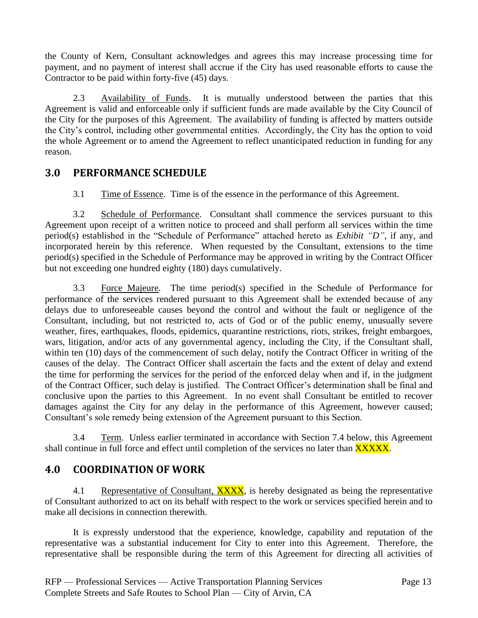the County of Kern, Consultant acknowledges and agrees this may increase processing time for payment, and no payment of interest shall accrue if the City has used reasonable efforts to cause the Contractor to be paid within forty-five (45) days.

2.3 Availability of Funds. It is mutually understood between the parties that this Agreement is valid and enforceable only if sufficient funds are made available by the City Council of the City for the purposes of this Agreement. The availability of funding is affected by matters outside the City's control, including other governmental entities. Accordingly, the City has the option to void the whole Agreement or to amend the Agreement to reflect unanticipated reduction in funding for any reason.

# **3.0 PERFORMANCE SCHEDULE**

3.1 Time of Essence. Time is of the essence in the performance of this Agreement.

3.2 Schedule of Performance. Consultant shall commence the services pursuant to this Agreement upon receipt of a written notice to proceed and shall perform all services within the time period(s) established in the "Schedule of Performance" attached hereto as *Exhibit "D"*, if any, and incorporated herein by this reference. When requested by the Consultant, extensions to the time period(s) specified in the Schedule of Performance may be approved in writing by the Contract Officer but not exceeding one hundred eighty (180) days cumulatively.

3.3 Force Majeure. The time period(s) specified in the Schedule of Performance for performance of the services rendered pursuant to this Agreement shall be extended because of any delays due to unforeseeable causes beyond the control and without the fault or negligence of the Consultant, including, but not restricted to, acts of God or of the public enemy, unusually severe weather, fires, earthquakes, floods, epidemics, quarantine restrictions, riots, strikes, freight embargoes, wars, litigation, and/or acts of any governmental agency, including the City, if the Consultant shall, within ten (10) days of the commencement of such delay, notify the Contract Officer in writing of the causes of the delay. The Contract Officer shall ascertain the facts and the extent of delay and extend the time for performing the services for the period of the enforced delay when and if, in the judgment of the Contract Officer, such delay is justified. The Contract Officer's determination shall be final and conclusive upon the parties to this Agreement. In no event shall Consultant be entitled to recover damages against the City for any delay in the performance of this Agreement, however caused; Consultant's sole remedy being extension of the Agreement pursuant to this Section.

3.4 Term. Unless earlier terminated in accordance with Section 7.4 below, this Agreement shall continue in full force and effect until completion of the services no later than **XXXXX**.

# **4.0 COORDINATION OF WORK**

4.1 Representative of Consultant, **XXXX**, is hereby designated as being the representative of Consultant authorized to act on its behalf with respect to the work or services specified herein and to make all decisions in connection therewith.

It is expressly understood that the experience, knowledge, capability and reputation of the representative was a substantial inducement for City to enter into this Agreement. Therefore, the representative shall be responsible during the term of this Agreement for directing all activities of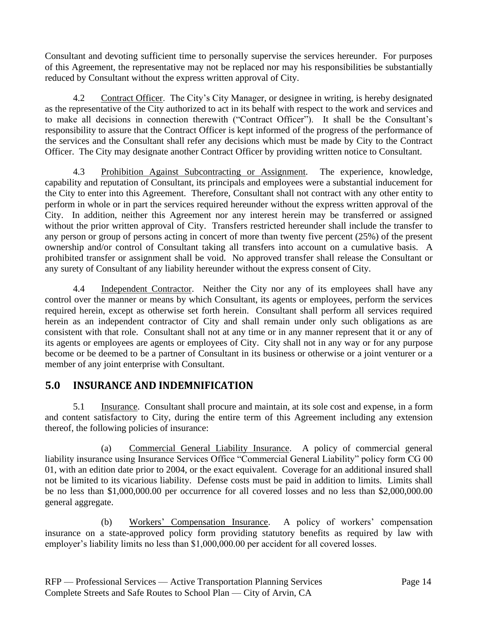Consultant and devoting sufficient time to personally supervise the services hereunder. For purposes of this Agreement, the representative may not be replaced nor may his responsibilities be substantially reduced by Consultant without the express written approval of City.

4.2 Contract Officer. The City's City Manager, or designee in writing, is hereby designated as the representative of the City authorized to act in its behalf with respect to the work and services and to make all decisions in connection therewith ("Contract Officer"). It shall be the Consultant's responsibility to assure that the Contract Officer is kept informed of the progress of the performance of the services and the Consultant shall refer any decisions which must be made by City to the Contract Officer. The City may designate another Contract Officer by providing written notice to Consultant.

4.3 Prohibition Against Subcontracting or Assignment. The experience, knowledge, capability and reputation of Consultant, its principals and employees were a substantial inducement for the City to enter into this Agreement. Therefore, Consultant shall not contract with any other entity to perform in whole or in part the services required hereunder without the express written approval of the City. In addition, neither this Agreement nor any interest herein may be transferred or assigned without the prior written approval of City. Transfers restricted hereunder shall include the transfer to any person or group of persons acting in concert of more than twenty five percent (25%) of the present ownership and/or control of Consultant taking all transfers into account on a cumulative basis. A prohibited transfer or assignment shall be void. No approved transfer shall release the Consultant or any surety of Consultant of any liability hereunder without the express consent of City.

4.4 Independent Contractor. Neither the City nor any of its employees shall have any control over the manner or means by which Consultant, its agents or employees, perform the services required herein, except as otherwise set forth herein. Consultant shall perform all services required herein as an independent contractor of City and shall remain under only such obligations as are consistent with that role. Consultant shall not at any time or in any manner represent that it or any of its agents or employees are agents or employees of City. City shall not in any way or for any purpose become or be deemed to be a partner of Consultant in its business or otherwise or a joint venturer or a member of any joint enterprise with Consultant.

# **5.0 INSURANCE AND INDEMNIFICATION**

5.1 Insurance. Consultant shall procure and maintain, at its sole cost and expense, in a form and content satisfactory to City, during the entire term of this Agreement including any extension thereof, the following policies of insurance:

(a) Commercial General Liability Insurance. A policy of commercial general liability insurance using Insurance Services Office "Commercial General Liability" policy form CG 00 01, with an edition date prior to 2004, or the exact equivalent. Coverage for an additional insured shall not be limited to its vicarious liability. Defense costs must be paid in addition to limits. Limits shall be no less than \$1,000,000.00 per occurrence for all covered losses and no less than \$2,000,000.00 general aggregate.

(b) Workers' Compensation Insurance. A policy of workers' compensation insurance on a state-approved policy form providing statutory benefits as required by law with employer's liability limits no less than \$1,000,000.00 per accident for all covered losses.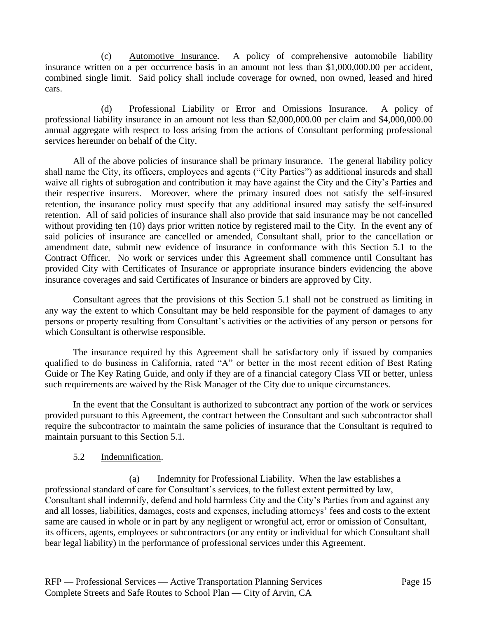(c) Automotive Insurance. A policy of comprehensive automobile liability insurance written on a per occurrence basis in an amount not less than \$1,000,000.00 per accident, combined single limit. Said policy shall include coverage for owned, non owned, leased and hired cars.

(d) Professional Liability or Error and Omissions Insurance. A policy of professional liability insurance in an amount not less than \$2,000,000.00 per claim and \$4,000,000.00 annual aggregate with respect to loss arising from the actions of Consultant performing professional services hereunder on behalf of the City.

All of the above policies of insurance shall be primary insurance. The general liability policy shall name the City, its officers, employees and agents ("City Parties") as additional insureds and shall waive all rights of subrogation and contribution it may have against the City and the City's Parties and their respective insurers. Moreover, where the primary insured does not satisfy the self-insured retention, the insurance policy must specify that any additional insured may satisfy the self-insured retention. All of said policies of insurance shall also provide that said insurance may be not cancelled without providing ten (10) days prior written notice by registered mail to the City. In the event any of said policies of insurance are cancelled or amended, Consultant shall, prior to the cancellation or amendment date, submit new evidence of insurance in conformance with this Section 5.1 to the Contract Officer. No work or services under this Agreement shall commence until Consultant has provided City with Certificates of Insurance or appropriate insurance binders evidencing the above insurance coverages and said Certificates of Insurance or binders are approved by City.

Consultant agrees that the provisions of this Section 5.1 shall not be construed as limiting in any way the extent to which Consultant may be held responsible for the payment of damages to any persons or property resulting from Consultant's activities or the activities of any person or persons for which Consultant is otherwise responsible.

The insurance required by this Agreement shall be satisfactory only if issued by companies qualified to do business in California, rated "A" or better in the most recent edition of Best Rating Guide or The Key Rating Guide, and only if they are of a financial category Class VII or better, unless such requirements are waived by the Risk Manager of the City due to unique circumstances.

In the event that the Consultant is authorized to subcontract any portion of the work or services provided pursuant to this Agreement, the contract between the Consultant and such subcontractor shall require the subcontractor to maintain the same policies of insurance that the Consultant is required to maintain pursuant to this Section 5.1.

### 5.2 Indemnification.

(a) Indemnity for Professional Liability. When the law establishes a professional standard of care for Consultant's services, to the fullest extent permitted by law, Consultant shall indemnify, defend and hold harmless City and the City's Parties from and against any and all losses, liabilities, damages, costs and expenses, including attorneys' fees and costs to the extent same are caused in whole or in part by any negligent or wrongful act, error or omission of Consultant, its officers, agents, employees or subcontractors (or any entity or individual for which Consultant shall bear legal liability) in the performance of professional services under this Agreement.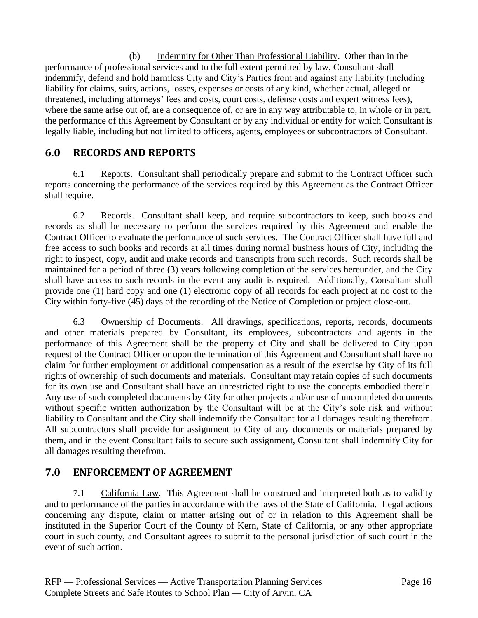(b) Indemnity for Other Than Professional Liability. Other than in the performance of professional services and to the full extent permitted by law, Consultant shall indemnify, defend and hold harmless City and City's Parties from and against any liability (including liability for claims, suits, actions, losses, expenses or costs of any kind, whether actual, alleged or threatened, including attorneys' fees and costs, court costs, defense costs and expert witness fees), where the same arise out of, are a consequence of, or are in any way attributable to, in whole or in part, the performance of this Agreement by Consultant or by any individual or entity for which Consultant is legally liable, including but not limited to officers, agents, employees or subcontractors of Consultant.

# **6.0 RECORDS AND REPORTS**

6.1 Reports. Consultant shall periodically prepare and submit to the Contract Officer such reports concerning the performance of the services required by this Agreement as the Contract Officer shall require.

6.2 Records. Consultant shall keep, and require subcontractors to keep, such books and records as shall be necessary to perform the services required by this Agreement and enable the Contract Officer to evaluate the performance of such services. The Contract Officer shall have full and free access to such books and records at all times during normal business hours of City, including the right to inspect, copy, audit and make records and transcripts from such records. Such records shall be maintained for a period of three (3) years following completion of the services hereunder, and the City shall have access to such records in the event any audit is required. Additionally, Consultant shall provide one (1) hard copy and one (1) electronic copy of all records for each project at no cost to the City within forty-five (45) days of the recording of the Notice of Completion or project close-out.

6.3 Ownership of Documents. All drawings, specifications, reports, records, documents and other materials prepared by Consultant, its employees, subcontractors and agents in the performance of this Agreement shall be the property of City and shall be delivered to City upon request of the Contract Officer or upon the termination of this Agreement and Consultant shall have no claim for further employment or additional compensation as a result of the exercise by City of its full rights of ownership of such documents and materials. Consultant may retain copies of such documents for its own use and Consultant shall have an unrestricted right to use the concepts embodied therein. Any use of such completed documents by City for other projects and/or use of uncompleted documents without specific written authorization by the Consultant will be at the City's sole risk and without liability to Consultant and the City shall indemnify the Consultant for all damages resulting therefrom. All subcontractors shall provide for assignment to City of any documents or materials prepared by them, and in the event Consultant fails to secure such assignment, Consultant shall indemnify City for all damages resulting therefrom.

# **7.0 ENFORCEMENT OF AGREEMENT**

7.1 California Law. This Agreement shall be construed and interpreted both as to validity and to performance of the parties in accordance with the laws of the State of California. Legal actions concerning any dispute, claim or matter arising out of or in relation to this Agreement shall be instituted in the Superior Court of the County of Kern, State of California, or any other appropriate court in such county, and Consultant agrees to submit to the personal jurisdiction of such court in the event of such action.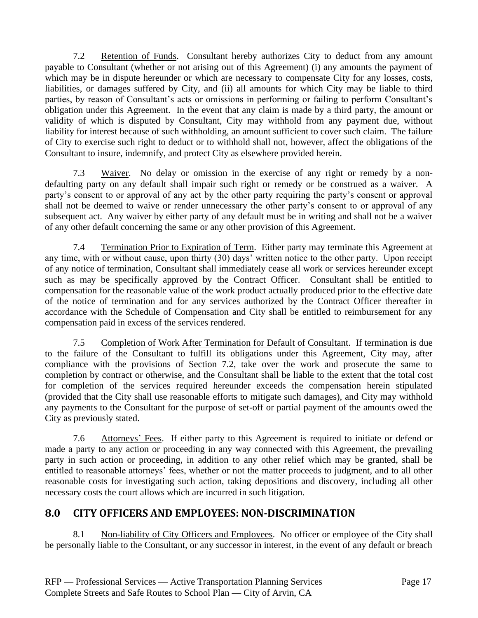7.2 Retention of Funds. Consultant hereby authorizes City to deduct from any amount payable to Consultant (whether or not arising out of this Agreement) (i) any amounts the payment of which may be in dispute hereunder or which are necessary to compensate City for any losses, costs, liabilities, or damages suffered by City, and (ii) all amounts for which City may be liable to third parties, by reason of Consultant's acts or omissions in performing or failing to perform Consultant's obligation under this Agreement. In the event that any claim is made by a third party, the amount or validity of which is disputed by Consultant, City may withhold from any payment due, without liability for interest because of such withholding, an amount sufficient to cover such claim. The failure of City to exercise such right to deduct or to withhold shall not, however, affect the obligations of the Consultant to insure, indemnify, and protect City as elsewhere provided herein.

7.3 Waiver. No delay or omission in the exercise of any right or remedy by a nondefaulting party on any default shall impair such right or remedy or be construed as a waiver. A party's consent to or approval of any act by the other party requiring the party's consent or approval shall not be deemed to waive or render unnecessary the other party's consent to or approval of any subsequent act. Any waiver by either party of any default must be in writing and shall not be a waiver of any other default concerning the same or any other provision of this Agreement.

7.4 Termination Prior to Expiration of Term. Either party may terminate this Agreement at any time, with or without cause, upon thirty (30) days' written notice to the other party. Upon receipt of any notice of termination, Consultant shall immediately cease all work or services hereunder except such as may be specifically approved by the Contract Officer. Consultant shall be entitled to compensation for the reasonable value of the work product actually produced prior to the effective date of the notice of termination and for any services authorized by the Contract Officer thereafter in accordance with the Schedule of Compensation and City shall be entitled to reimbursement for any compensation paid in excess of the services rendered.

7.5 Completion of Work After Termination for Default of Consultant. If termination is due to the failure of the Consultant to fulfill its obligations under this Agreement, City may, after compliance with the provisions of Section 7.2, take over the work and prosecute the same to completion by contract or otherwise, and the Consultant shall be liable to the extent that the total cost for completion of the services required hereunder exceeds the compensation herein stipulated (provided that the City shall use reasonable efforts to mitigate such damages), and City may withhold any payments to the Consultant for the purpose of set-off or partial payment of the amounts owed the City as previously stated.

7.6 Attorneys' Fees. If either party to this Agreement is required to initiate or defend or made a party to any action or proceeding in any way connected with this Agreement, the prevailing party in such action or proceeding, in addition to any other relief which may be granted, shall be entitled to reasonable attorneys' fees, whether or not the matter proceeds to judgment, and to all other reasonable costs for investigating such action, taking depositions and discovery, including all other necessary costs the court allows which are incurred in such litigation.

# **8.0 CITY OFFICERS AND EMPLOYEES: NON-DISCRIMINATION**

8.1 Non-liability of City Officers and Employees. No officer or employee of the City shall be personally liable to the Consultant, or any successor in interest, in the event of any default or breach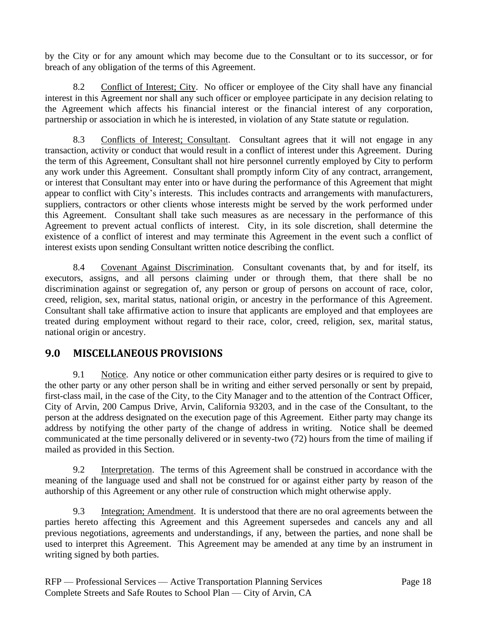by the City or for any amount which may become due to the Consultant or to its successor, or for breach of any obligation of the terms of this Agreement.

8.2 Conflict of Interest; City. No officer or employee of the City shall have any financial interest in this Agreement nor shall any such officer or employee participate in any decision relating to the Agreement which affects his financial interest or the financial interest of any corporation, partnership or association in which he is interested, in violation of any State statute or regulation.

8.3 Conflicts of Interest; Consultant. Consultant agrees that it will not engage in any transaction, activity or conduct that would result in a conflict of interest under this Agreement. During the term of this Agreement, Consultant shall not hire personnel currently employed by City to perform any work under this Agreement. Consultant shall promptly inform City of any contract, arrangement, or interest that Consultant may enter into or have during the performance of this Agreement that might appear to conflict with City's interests. This includes contracts and arrangements with manufacturers, suppliers, contractors or other clients whose interests might be served by the work performed under this Agreement. Consultant shall take such measures as are necessary in the performance of this Agreement to prevent actual conflicts of interest. City, in its sole discretion, shall determine the existence of a conflict of interest and may terminate this Agreement in the event such a conflict of interest exists upon sending Consultant written notice describing the conflict.

8.4 Covenant Against Discrimination. Consultant covenants that, by and for itself, its executors, assigns, and all persons claiming under or through them, that there shall be no discrimination against or segregation of, any person or group of persons on account of race, color, creed, religion, sex, marital status, national origin, or ancestry in the performance of this Agreement. Consultant shall take affirmative action to insure that applicants are employed and that employees are treated during employment without regard to their race, color, creed, religion, sex, marital status, national origin or ancestry.

# **9.0 MISCELLANEOUS PROVISIONS**

9.1 Notice. Any notice or other communication either party desires or is required to give to the other party or any other person shall be in writing and either served personally or sent by prepaid, first-class mail, in the case of the City, to the City Manager and to the attention of the Contract Officer, City of Arvin, 200 Campus Drive, Arvin, California 93203, and in the case of the Consultant, to the person at the address designated on the execution page of this Agreement. Either party may change its address by notifying the other party of the change of address in writing. Notice shall be deemed communicated at the time personally delivered or in seventy-two (72) hours from the time of mailing if mailed as provided in this Section.

9.2 Interpretation. The terms of this Agreement shall be construed in accordance with the meaning of the language used and shall not be construed for or against either party by reason of the authorship of this Agreement or any other rule of construction which might otherwise apply.

9.3 Integration; Amendment. It is understood that there are no oral agreements between the parties hereto affecting this Agreement and this Agreement supersedes and cancels any and all previous negotiations, agreements and understandings, if any, between the parties, and none shall be used to interpret this Agreement. This Agreement may be amended at any time by an instrument in writing signed by both parties.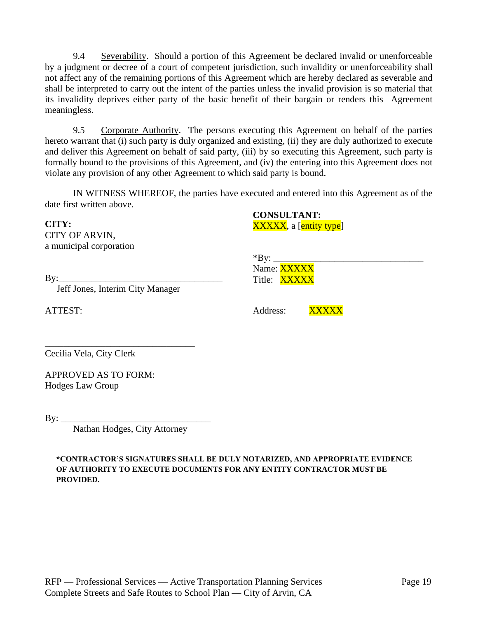9.4 Severability. Should a portion of this Agreement be declared invalid or unenforceable by a judgment or decree of a court of competent jurisdiction, such invalidity or unenforceability shall not affect any of the remaining portions of this Agreement which are hereby declared as severable and shall be interpreted to carry out the intent of the parties unless the invalid provision is so material that its invalidity deprives either party of the basic benefit of their bargain or renders this Agreement meaningless.

9.5 Corporate Authority. The persons executing this Agreement on behalf of the parties hereto warrant that (i) such party is duly organized and existing, (ii) they are duly authorized to execute and deliver this Agreement on behalf of said party, (iii) by so executing this Agreement, such party is formally bound to the provisions of this Agreement, and (iv) the entering into this Agreement does not violate any provision of any other Agreement to which said party is bound.

IN WITNESS WHEREOF, the parties have executed and entered into this Agreement as of the date first written above.

**CITY:** CITY OF ARVIN, a municipal corporation

By:\_\_\_\_\_\_\_\_\_\_\_\_\_\_\_\_\_\_\_\_\_\_\_\_\_\_\_\_\_\_\_\_\_\_\_

Jeff Jones, Interim City Manager

ATTEST:

**CONSULTANT:** XXXXX, a [entity type]

 $*$ By: Name: XXXXX Title: XXXXX

Address: **XXXXX** 

\_\_\_\_\_\_\_\_\_\_\_\_\_\_\_\_\_\_\_\_\_\_\_\_\_\_\_\_\_\_\_\_ Cecilia Vela, City Clerk

APPROVED AS TO FORM: Hodges Law Group

 $\rm\,By:\_$ 

Nathan Hodges, City Attorney

**\*CONTRACTOR'S SIGNATURES SHALL BE DULY NOTARIZED, AND APPROPRIATE EVIDENCE OF AUTHORITY TO EXECUTE DOCUMENTS FOR ANY ENTITY CONTRACTOR MUST BE PROVIDED.**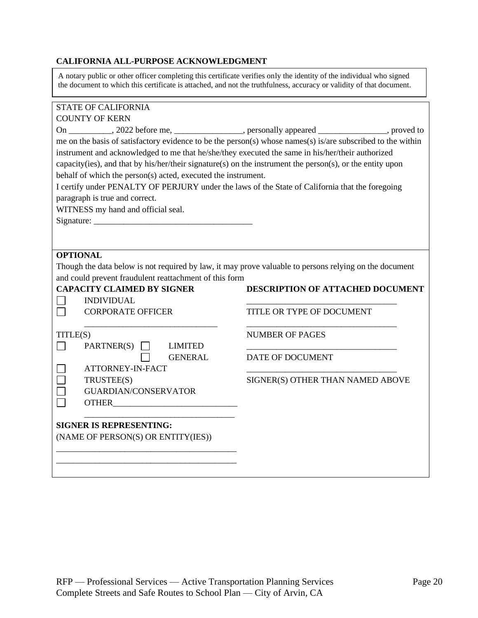#### **CALIFORNIA ALL-PURPOSE ACKNOWLEDGMENT**

A notary public or other officer completing this certificate verifies only the identity of the individual who signed the document to which this certificate is attached, and not the truthfulness, accuracy or validity of that document.

|          | <b>STATE OF CALIFORNIA</b>                                                                                                                                                                                                                                                                                                                                                                                                                                                                                                                                               |                                         |  |
|----------|--------------------------------------------------------------------------------------------------------------------------------------------------------------------------------------------------------------------------------------------------------------------------------------------------------------------------------------------------------------------------------------------------------------------------------------------------------------------------------------------------------------------------------------------------------------------------|-----------------------------------------|--|
|          | <b>COUNTY OF KERN</b>                                                                                                                                                                                                                                                                                                                                                                                                                                                                                                                                                    |                                         |  |
|          | On __________, 2022 before me, _______________, personally appeared ____________, proved to                                                                                                                                                                                                                                                                                                                                                                                                                                                                              |                                         |  |
|          | me on the basis of satisfactory evidence to be the person(s) whose names(s) is/are subscribed to the within<br>instrument and acknowledged to me that he/she/they executed the same in his/her/their authorized<br>capacity(ies), and that by his/her/their signature(s) on the instrument the person(s), or the entity upon<br>behalf of which the person(s) acted, executed the instrument.<br>I certify under PENALTY OF PERJURY under the laws of the State of California that the foregoing<br>paragraph is true and correct.<br>WITNESS my hand and official seal. |                                         |  |
|          | <b>OPTIONAL</b><br>Though the data below is not required by law, it may prove valuable to persons relying on the document<br>and could prevent fraudulent reattachment of this form<br><b>CAPACITY CLAIMED BY SIGNER</b>                                                                                                                                                                                                                                                                                                                                                 | <b>DESCRIPTION OF ATTACHED DOCUMENT</b> |  |
|          | <b>INDIVIDUAL</b>                                                                                                                                                                                                                                                                                                                                                                                                                                                                                                                                                        |                                         |  |
|          | <b>CORPORATE OFFICER</b>                                                                                                                                                                                                                                                                                                                                                                                                                                                                                                                                                 | TITLE OR TYPE OF DOCUMENT               |  |
| TITLE(S) | PARTNER(S)<br><b>LIMITED</b>                                                                                                                                                                                                                                                                                                                                                                                                                                                                                                                                             | <b>NUMBER OF PAGES</b>                  |  |
|          | <b>GENERAL</b><br>ATTORNEY-IN-FACT                                                                                                                                                                                                                                                                                                                                                                                                                                                                                                                                       | DATE OF DOCUMENT                        |  |
|          | TRUSTEE(S)<br><b>GUARDIAN/CONSERVATOR</b>                                                                                                                                                                                                                                                                                                                                                                                                                                                                                                                                | SIGNER(S) OTHER THAN NAMED ABOVE        |  |
|          | <b>SIGNER IS REPRESENTING:</b><br>(NAME OF PERSON(S) OR ENTITY(IES))                                                                                                                                                                                                                                                                                                                                                                                                                                                                                                     |                                         |  |
|          |                                                                                                                                                                                                                                                                                                                                                                                                                                                                                                                                                                          |                                         |  |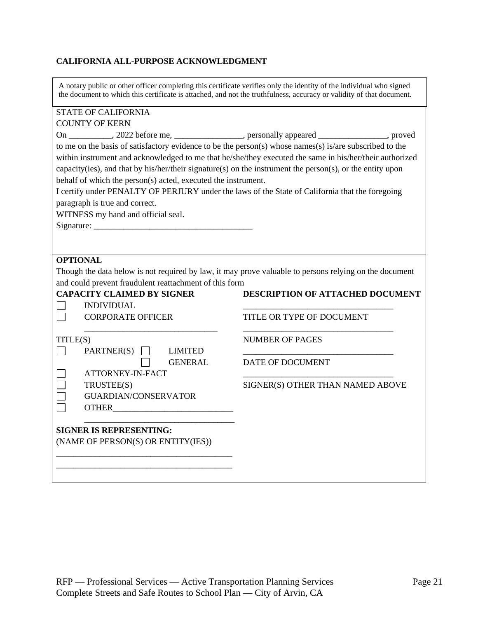#### **CALIFORNIA ALL-PURPOSE ACKNOWLEDGMENT**

A notary public or other officer completing this certificate verifies only the identity of the individual who signed the document to which this certificate is attached, and not the truthfulness, accuracy or validity of that document.

# STATE OF CALIFORNIA

| <b>COUNTY OF KERN</b>                                                                                     |                                                                                                         |  |  |  |
|-----------------------------------------------------------------------------------------------------------|---------------------------------------------------------------------------------------------------------|--|--|--|
| On __________, 2022 before me, _______________, personally appeared ____________, proved                  |                                                                                                         |  |  |  |
| to me on the basis of satisfactory evidence to be the person(s) whose names(s) is/are subscribed to the   |                                                                                                         |  |  |  |
|                                                                                                           | within instrument and acknowledged to me that he/she/they executed the same in his/her/their authorized |  |  |  |
| capacity(ies), and that by his/her/their signature(s) on the instrument the person(s), or the entity upon |                                                                                                         |  |  |  |
| behalf of which the person(s) acted, executed the instrument.                                             |                                                                                                         |  |  |  |
| I certify under PENALTY OF PERJURY under the laws of the State of California that the foregoing           |                                                                                                         |  |  |  |
| paragraph is true and correct.                                                                            |                                                                                                         |  |  |  |
| WITNESS my hand and official seal.                                                                        |                                                                                                         |  |  |  |
|                                                                                                           |                                                                                                         |  |  |  |
|                                                                                                           |                                                                                                         |  |  |  |
|                                                                                                           |                                                                                                         |  |  |  |
| <b>OPTIONAL</b>                                                                                           |                                                                                                         |  |  |  |
| Though the data below is not required by law, it may prove valuable to persons relying on the document    |                                                                                                         |  |  |  |
| and could prevent fraudulent reattachment of this form                                                    |                                                                                                         |  |  |  |
| <b>CAPACITY CLAIMED BY SIGNER</b>                                                                         | DESCRIPTION OF ATTACHED DOCUMENT                                                                        |  |  |  |
| <b>INDIVIDUAL</b>                                                                                         |                                                                                                         |  |  |  |
| <b>CORPORATE OFFICER</b>                                                                                  | TITLE OR TYPE OF DOCUMENT                                                                               |  |  |  |
|                                                                                                           |                                                                                                         |  |  |  |
| TITLE(S)                                                                                                  | <b>NUMBER OF PAGES</b>                                                                                  |  |  |  |
| $PARTNER(S)$ LIMITED                                                                                      |                                                                                                         |  |  |  |
| <b>GENERAL</b>                                                                                            | DATE OF DOCUMENT                                                                                        |  |  |  |
| ATTORNEY-IN-FACT                                                                                          |                                                                                                         |  |  |  |
| TRUSTEE(S)                                                                                                | SIGNER(S) OTHER THAN NAMED ABOVE                                                                        |  |  |  |
| <b>GUARDIAN/CONSERVATOR</b>                                                                               |                                                                                                         |  |  |  |
|                                                                                                           |                                                                                                         |  |  |  |
|                                                                                                           |                                                                                                         |  |  |  |
| <b>SIGNER IS REPRESENTING:</b>                                                                            |                                                                                                         |  |  |  |
| (NAME OF PERSON(S) OR ENTITY(IES))                                                                        |                                                                                                         |  |  |  |
|                                                                                                           |                                                                                                         |  |  |  |
|                                                                                                           |                                                                                                         |  |  |  |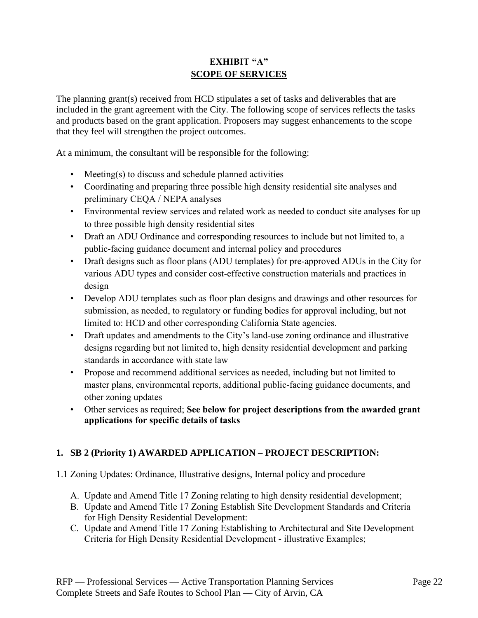# **EXHIBIT "A" SCOPE OF SERVICES**

The planning grant(s) received from HCD stipulates a set of tasks and deliverables that are included in the grant agreement with the City. The following scope of services reflects the tasks and products based on the grant application. Proposers may suggest enhancements to the scope that they feel will strengthen the project outcomes.

At a minimum, the consultant will be responsible for the following:

- Meeting(s) to discuss and schedule planned activities
- Coordinating and preparing three possible high density residential site analyses and preliminary CEQA / NEPA analyses
- Environmental review services and related work as needed to conduct site analyses for up to three possible high density residential sites
- Draft an ADU Ordinance and corresponding resources to include but not limited to, a public-facing guidance document and internal policy and procedures
- Draft designs such as floor plans (ADU templates) for pre-approved ADUs in the City for various ADU types and consider cost-effective construction materials and practices in design
- Develop ADU templates such as floor plan designs and drawings and other resources for submission, as needed, to regulatory or funding bodies for approval including, but not limited to: HCD and other corresponding California State agencies.
- Draft updates and amendments to the City's land-use zoning ordinance and illustrative designs regarding but not limited to, high density residential development and parking standards in accordance with state law
- Propose and recommend additional services as needed, including but not limited to master plans, environmental reports, additional public-facing guidance documents, and other zoning updates
- Other services as required; **See below for project descriptions from the awarded grant applications for specific details of tasks**

# **1. SB 2 (Priority 1) AWARDED APPLICATION – PROJECT DESCRIPTION:**

- 1.1 Zoning Updates: Ordinance, Illustrative designs, Internal policy and procedure
	- A. Update and Amend Title 17 Zoning relating to high density residential development;
	- B. Update and Amend Title 17 Zoning Establish Site Development Standards and Criteria for High Density Residential Development:
	- C. Update and Amend Title 17 Zoning Establishing to Architectural and Site Development Criteria for High Density Residential Development - illustrative Examples;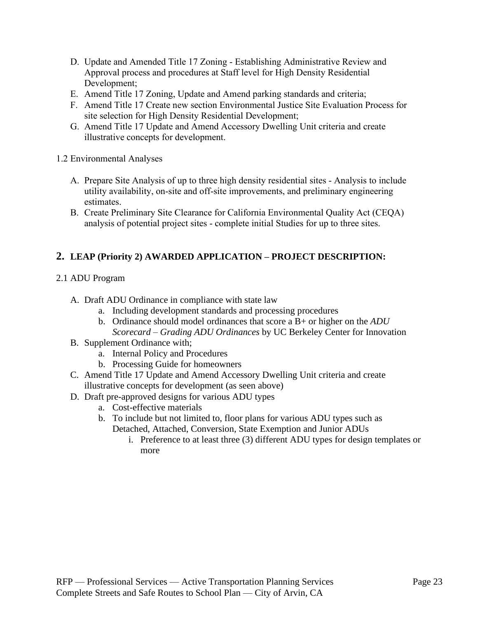- D. Update and Amended Title 17 Zoning Establishing Administrative Review and Approval process and procedures at Staff level for High Density Residential Development;
- E. Amend Title 17 Zoning, Update and Amend parking standards and criteria;
- F. Amend Title 17 Create new section Environmental Justice Site Evaluation Process for site selection for High Density Residential Development;
- G. Amend Title 17 Update and Amend Accessory Dwelling Unit criteria and create illustrative concepts for development.

### 1.2 Environmental Analyses

- A. Prepare Site Analysis of up to three high density residential sites Analysis to include utility availability, on-site and off-site improvements, and preliminary engineering estimates.
- B. Create Preliminary Site Clearance for California Environmental Quality Act (CEQA) analysis of potential project sites - complete initial Studies for up to three sites.

# **2. LEAP (Priority 2) AWARDED APPLICATION – PROJECT DESCRIPTION:**

# 2.1 ADU Program

- A. Draft ADU Ordinance in compliance with state law
	- a. Including development standards and processing procedures
	- b. Ordinance should model ordinances that score a B+ or higher on the *ADU Scorecard – Grading ADU Ordinances* by UC Berkeley Center for Innovation
- B. Supplement Ordinance with;
	- a. Internal Policy and Procedures
	- b. Processing Guide for homeowners
- C. Amend Title 17 Update and Amend Accessory Dwelling Unit criteria and create illustrative concepts for development (as seen above)
- D. Draft pre-approved designs for various ADU types
	- a. Cost-effective materials
	- b. To include but not limited to, floor plans for various ADU types such as Detached, Attached, Conversion, State Exemption and Junior ADUs
		- i. Preference to at least three (3) different ADU types for design templates or more